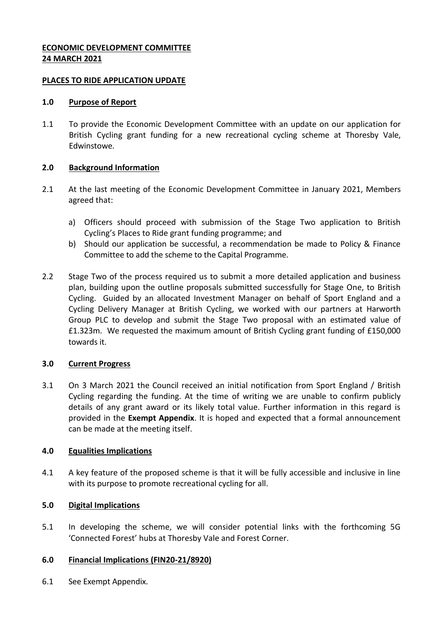# **ECONOMIC DEVELOPMENT COMMITTEE 24 MARCH 2021**

#### **PLACES TO RIDE APPLICATION UPDATE**

#### **1.0 Purpose of Report**

1.1 To provide the Economic Development Committee with an update on our application for British Cycling grant funding for a new recreational cycling scheme at Thoresby Vale, Edwinstowe.

### **2.0 Background Information**

- 2.1 At the last meeting of the Economic Development Committee in January 2021, Members agreed that:
	- a) Officers should proceed with submission of the Stage Two application to British Cycling's Places to Ride grant funding programme; and
	- b) Should our application be successful, a recommendation be made to Policy & Finance Committee to add the scheme to the Capital Programme.
- 2.2 Stage Two of the process required us to submit a more detailed application and business plan, building upon the outline proposals submitted successfully for Stage One, to British Cycling. Guided by an allocated Investment Manager on behalf of Sport England and a Cycling Delivery Manager at British Cycling, we worked with our partners at Harworth Group PLC to develop and submit the Stage Two proposal with an estimated value of £1.323m. We requested the maximum amount of British Cycling grant funding of £150,000 towards it.

### **3.0 Current Progress**

3.1 On 3 March 2021 the Council received an initial notification from Sport England / British Cycling regarding the funding. At the time of writing we are unable to confirm publicly details of any grant award or its likely total value. Further information in this regard is provided in the **Exempt Appendix**. It is hoped and expected that a formal announcement can be made at the meeting itself.

### **4.0 Equalities Implications**

4.1 A key feature of the proposed scheme is that it will be fully accessible and inclusive in line with its purpose to promote recreational cycling for all.

### **5.0 Digital Implications**

5.1 In developing the scheme, we will consider potential links with the forthcoming 5G 'Connected Forest' hubs at Thoresby Vale and Forest Corner.

### **6.0 Financial Implications (FIN20-21/8920)**

6.1 See Exempt Appendix.